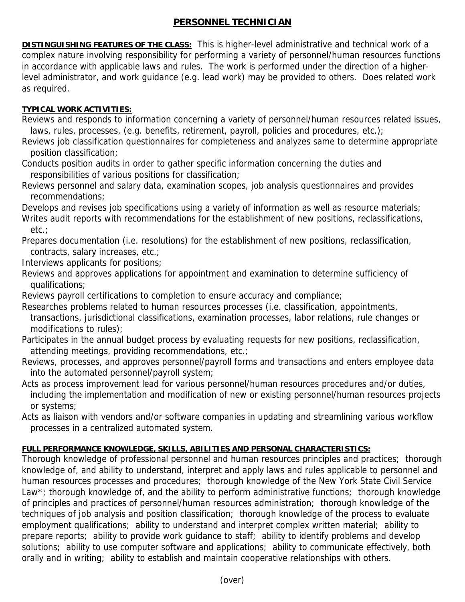## **PERSONNEL TECHNICIAN**

**DISTINGUISHING FEATURES OF THE CLASS:** This is higher-level administrative and technical work of a complex nature involving responsibility for performing a variety of personnel/human resources functions in accordance with applicable laws and rules. The work is performed under the direction of a higherlevel administrator, and work guidance (e.g. lead work) may be provided to others. Does related work as required.

## **TYPICAL WORK ACTIVITIES:**

- Reviews and responds to information concerning a variety of personnel/human resources related issues, laws, rules, processes, (e.g. benefits, retirement, payroll, policies and procedures, etc.);
- Reviews job classification questionnaires for completeness and analyzes same to determine appropriate position classification;
- Conducts position audits in order to gather specific information concerning the duties and responsibilities of various positions for classification;
- Reviews personnel and salary data, examination scopes, job analysis questionnaires and provides recommendations;
- Develops and revises job specifications using a variety of information as well as resource materials;
- Writes audit reports with recommendations for the establishment of new positions, reclassifications, etc.;
- Prepares documentation (i.e. resolutions) for the establishment of new positions, reclassification, contracts, salary increases, etc.;
- Interviews applicants for positions;
- Reviews and approves applications for appointment and examination to determine sufficiency of qualifications;
- Reviews payroll certifications to completion to ensure accuracy and compliance;
- Researches problems related to human resources processes (i.e. classification, appointments, transactions, jurisdictional classifications, examination processes, labor relations, rule changes or modifications to rules);
- Participates in the annual budget process by evaluating requests for new positions, reclassification, attending meetings, providing recommendations, etc.;
- Reviews, processes, and approves personnel/payroll forms and transactions and enters employee data into the automated personnel/payroll system;
- Acts as process improvement lead for various personnel/human resources procedures and/or duties, including the implementation and modification of new or existing personnel/human resources projects or systems;
- Acts as liaison with vendors and/or software companies in updating and streamlining various workflow processes in a centralized automated system.

## **FULL PERFORMANCE KNOWLEDGE, SKILLS, ABILITIES AND PERSONAL CHARACTERISTICS:**

Thorough knowledge of professional personnel and human resources principles and practices; thorough knowledge of, and ability to understand, interpret and apply laws and rules applicable to personnel and human resources processes and procedures; thorough knowledge of the New York State Civil Service Law<sup>\*</sup>; thorough knowledge of, and the ability to perform administrative functions; thorough knowledge of principles and practices of personnel/human resources administration; thorough knowledge of the techniques of job analysis and position classification; thorough knowledge of the process to evaluate employment qualifications; ability to understand and interpret complex written material; ability to prepare reports; ability to provide work guidance to staff; ability to identify problems and develop solutions; ability to use computer software and applications; ability to communicate effectively, both orally and in writing; ability to establish and maintain cooperative relationships with others.